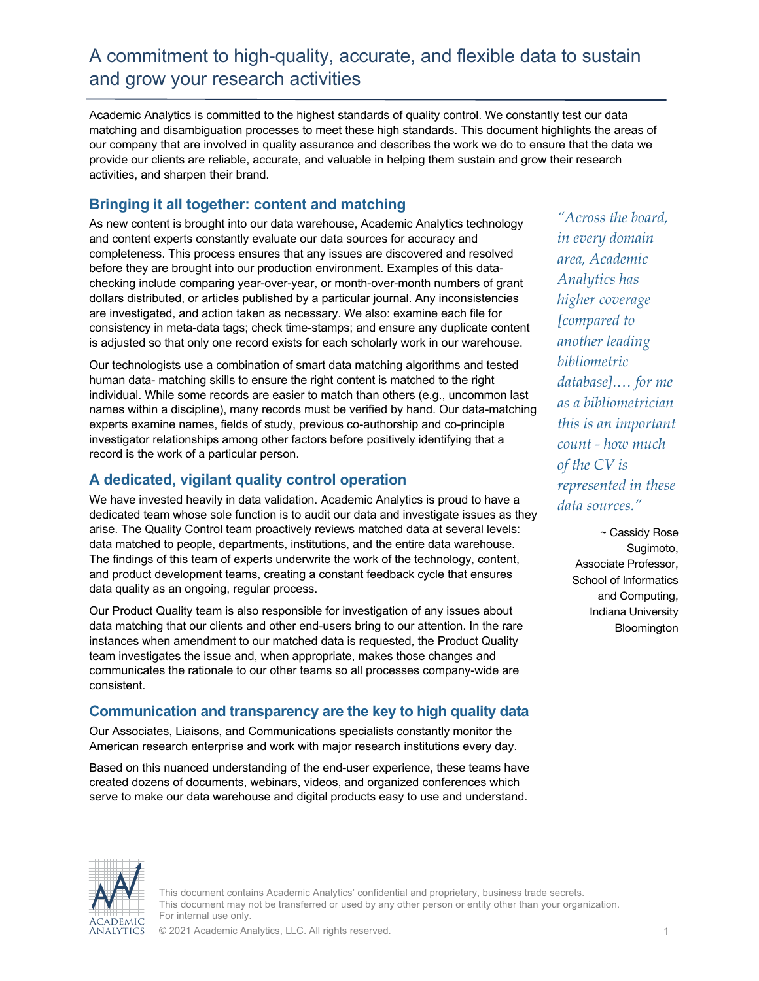# A commitment to high-quality, accurate, and flexible data to sustain and grow your research activities

Academic Analytics is committed to the highest standards of quality control. We constantly test our data matching and disambiguation processes to meet these high standards. This document highlights the areas of our company that are involved in quality assurance and describes the work we do to ensure that the data we provide our clients are reliable, accurate, and valuable in helping them sustain and grow their research activities, and sharpen their brand.

### **Bringing it all together: content and matching**

As new content is brought into our data warehouse, Academic Analytics technology and content experts constantly evaluate our data sources for accuracy and completeness. This process ensures that any issues are discovered and resolved before they are brought into our production environment. Examples of this datachecking include comparing year-over-year, or month-over-month numbers of grant dollars distributed, or articles published by a particular journal. Any inconsistencies are investigated, and action taken as necessary. We also: examine each file for consistency in meta-data tags; check time-stamps; and ensure any duplicate content is adjusted so that only one record exists for each scholarly work in our warehouse.

Our technologists use a combination of smart data matching algorithms and tested human data- matching skills to ensure the right content is matched to the right individual. While some records are easier to match than others (e.g., uncommon last names within a discipline), many records must be verified by hand. Our data-matching experts examine names, fields of study, previous co-authorship and co-principle investigator relationships among other factors before positively identifying that a record is the work of a particular person.

## **A dedicated, vigilant quality control operation**

We have invested heavily in data validation. Academic Analytics is proud to have a dedicated team whose sole function is to audit our data and investigate issues as they arise. The Quality Control team proactively reviews matched data at several levels: data matched to people, departments, institutions, and the entire data warehouse. The findings of this team of experts underwrite the work of the technology, content, and product development teams, creating a constant feedback cycle that ensures data quality as an ongoing, regular process.

Our Product Quality team is also responsible for investigation of any issues about data matching that our clients and other end-users bring to our attention. In the rare instances when amendment to our matched data is requested, the Product Quality team investigates the issue and, when appropriate, makes those changes and communicates the rationale to our other teams so all processes company-wide are consistent.

### **Communication and transparency are the key to high quality data**

Our Associates, Liaisons, and Communications specialists constantly monitor the American research enterprise and work with major research institutions every day.

Based on this nuanced understanding of the end-user experience, these teams have created dozens of documents, webinars, videos, and organized conferences which serve to make our data warehouse and digital products easy to use and understand.

*"Across the board, in every domain area, Academic Analytics has higher coverage [compared to another leading bibliometric database].… for me as a bibliometrician this is an important count - how much of the CV is represented in these data sources."*

> ~ Cassidy Rose Sugimoto, Associate Professor, School of Informatics and Computing, Indiana University **Bloomington**



This document contains Academic Analytics' confidential and proprietary, business trade secrets. This document may not be transferred or used by any other person or entity other than your organization. For internal use only.